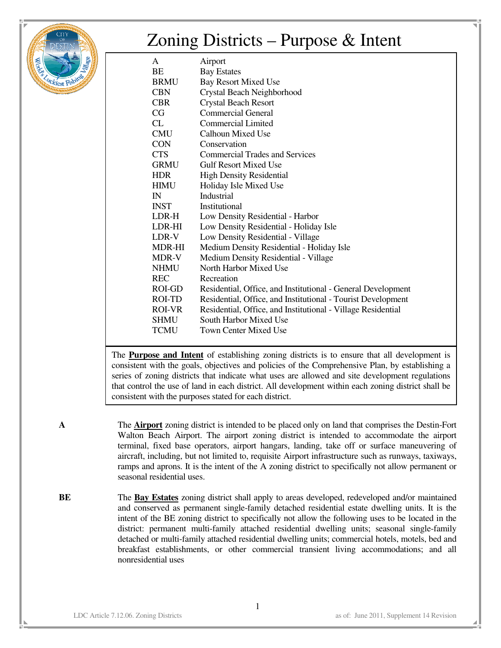

## Zoning Districts – Purpose & Intent

| A            | Airport                                                      |
|--------------|--------------------------------------------------------------|
| BE           | <b>Bay Estates</b>                                           |
| <b>BRMU</b>  | <b>Bay Resort Mixed Use</b>                                  |
| <b>CBN</b>   | Crystal Beach Neighborhood                                   |
| <b>CBR</b>   | <b>Crystal Beach Resort</b>                                  |
| CG           | <b>Commercial General</b>                                    |
| CL           | <b>Commercial Limited</b>                                    |
| <b>CMU</b>   | Calhoun Mixed Use                                            |
| <b>CON</b>   | Conservation                                                 |
| <b>CTS</b>   | <b>Commercial Trades and Services</b>                        |
| <b>GRMU</b>  | <b>Gulf Resort Mixed Use</b>                                 |
| <b>HDR</b>   | <b>High Density Residential</b>                              |
| <b>HIMU</b>  | Holiday Isle Mixed Use                                       |
| $\mathbb{N}$ | Industrial                                                   |
| <b>INST</b>  | Institutional                                                |
| LDR-H        | Low Density Residential - Harbor                             |
| LDR-HI       | Low Density Residential - Holiday Isle                       |
| LDR-V        | Low Density Residential - Village                            |
| MDR-HI       | Medium Density Residential - Holiday Isle                    |
| MDR-V        | Medium Density Residential - Village                         |
| <b>NHMU</b>  | North Harbor Mixed Use                                       |
| <b>REC</b>   | Recreation                                                   |
| ROI-GD       | Residential, Office, and Institutional - General Development |
| ROI-TD       | Residential, Office, and Institutional - Tourist Development |
| ROI-VR       | Residential, Office, and Institutional - Village Residential |
| SHMU         | South Harbor Mixed Use                                       |
| <b>TCMU</b>  | <b>Town Center Mixed Use</b>                                 |
|              |                                                              |

The **Purpose and Intent** of establishing zoning districts is to ensure that all development is consistent with the goals, objectives and policies of the Comprehensive Plan, by establishing a series of zoning districts that indicate what uses are allowed and site development regulations that control the use of land in each district. All development within each zoning district shall be consistent with the purposes stated for each district.

**A** The **Airport** zoning district is intended to be placed only on land that comprises the Destin-Fort Walton Beach Airport. The airport zoning district is intended to accommodate the airport terminal, fixed base operators, airport hangars, landing, take off or surface maneuvering of aircraft, including, but not limited to, requisite Airport infrastructure such as runways, taxiways, ramps and aprons. It is the intent of the A zoning district to specifically not allow permanent or seasonal residential uses.

**BE** The **Bay Estates** zoning district shall apply to areas developed, redeveloped and/or maintained and conserved as permanent single-family detached residential estate dwelling units. It is the intent of the BE zoning district to specifically not allow the following uses to be located in the district: permanent multi-family attached residential dwelling units; seasonal single-family detached or multi-family attached residential dwelling units; commercial hotels, motels, bed and breakfast establishments, or other commercial transient living accommodations; and all nonresidential uses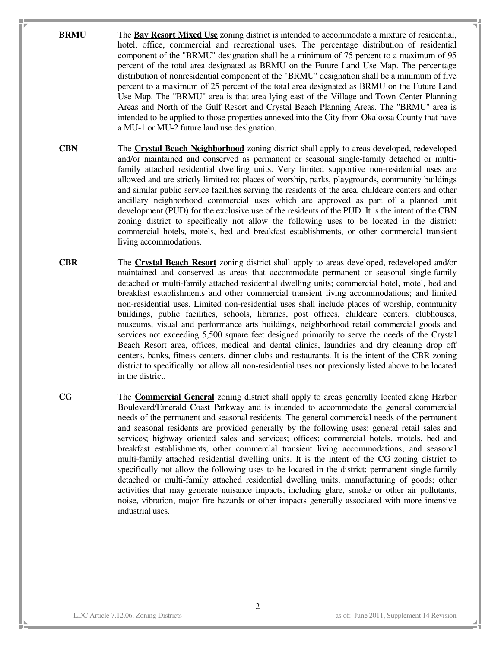- **BRMU** The **Bay Resort Mixed Use** zoning district is intended to accommodate a mixture of residential, hotel, office, commercial and recreational uses. The percentage distribution of residential component of the "BRMU" designation shall be a minimum of 75 percent to a maximum of 95 percent of the total area designated as BRMU on the Future Land Use Map. The percentage distribution of nonresidential component of the "BRMU" designation shall be a minimum of five percent to a maximum of 25 percent of the total area designated as BRMU on the Future Land Use Map. The "BRMU" area is that area lying east of the Village and Town Center Planning Areas and North of the Gulf Resort and Crystal Beach Planning Areas. The "BRMU" area is intended to be applied to those properties annexed into the City from Okaloosa County that have a MU-1 or MU-2 future land use designation.
- **CBN** The **Crystal Beach Neighborhood** zoning district shall apply to areas developed, redeveloped and/or maintained and conserved as permanent or seasonal single-family detached or multifamily attached residential dwelling units. Very limited supportive non-residential uses are allowed and are strictly limited to: places of worship, parks, playgrounds, community buildings and similar public service facilities serving the residents of the area, childcare centers and other ancillary neighborhood commercial uses which are approved as part of a planned unit development (PUD) for the exclusive use of the residents of the PUD. It is the intent of the CBN zoning district to specifically not allow the following uses to be located in the district: commercial hotels, motels, bed and breakfast establishments, or other commercial transient living accommodations.
- **CBR** The **Crystal Beach Resort** zoning district shall apply to areas developed, redeveloped and/or maintained and conserved as areas that accommodate permanent or seasonal single-family detached or multi-family attached residential dwelling units; commercial hotel, motel, bed and breakfast establishments and other commercial transient living accommodations; and limited non-residential uses. Limited non-residential uses shall include places of worship, community buildings, public facilities, schools, libraries, post offices, childcare centers, clubhouses, museums, visual and performance arts buildings, neighborhood retail commercial goods and services not exceeding 5,500 square feet designed primarily to serve the needs of the Crystal Beach Resort area, offices, medical and dental clinics, laundries and dry cleaning drop off centers, banks, fitness centers, dinner clubs and restaurants. It is the intent of the CBR zoning district to specifically not allow all non-residential uses not previously listed above to be located in the district.
- **CG** The **Commercial General** zoning district shall apply to areas generally located along Harbor Boulevard/Emerald Coast Parkway and is intended to accommodate the general commercial needs of the permanent and seasonal residents. The general commercial needs of the permanent and seasonal residents are provided generally by the following uses: general retail sales and services; highway oriented sales and services; offices; commercial hotels, motels, bed and breakfast establishments, other commercial transient living accommodations; and seasonal multi-family attached residential dwelling units. It is the intent of the CG zoning district to specifically not allow the following uses to be located in the district: permanent single-family detached or multi-family attached residential dwelling units; manufacturing of goods; other activities that may generate nuisance impacts, including glare, smoke or other air pollutants, noise, vibration, major fire hazards or other impacts generally associated with more intensive industrial uses.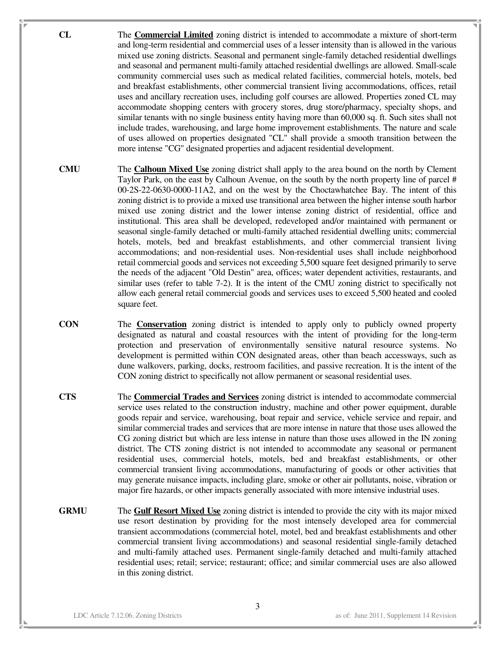- **CL** The **Commercial Limited** zoning district is intended to accommodate a mixture of short-term and long-term residential and commercial uses of a lesser intensity than is allowed in the various mixed use zoning districts. Seasonal and permanent single-family detached residential dwellings and seasonal and permanent multi-family attached residential dwellings are allowed. Small-scale community commercial uses such as medical related facilities, commercial hotels, motels, bed and breakfast establishments, other commercial transient living accommodations, offices, retail uses and ancillary recreation uses, including golf courses are allowed. Properties zoned CL may accommodate shopping centers with grocery stores, drug store/pharmacy, specialty shops, and similar tenants with no single business entity having more than 60,000 sq. ft. Such sites shall not include trades, warehousing, and large home improvement establishments. The nature and scale of uses allowed on properties designated "CL" shall provide a smooth transition between the more intense "CG" designated properties and adjacent residential development.
- **CMU** The **Calhoun Mixed Use** zoning district shall apply to the area bound on the north by Clement Taylor Park, on the east by Calhoun Avenue, on the south by the north property line of parcel # 00-2S-22-0630-0000-11A2, and on the west by the Choctawhatchee Bay. The intent of this zoning district is to provide a mixed use transitional area between the higher intense south harbor mixed use zoning district and the lower intense zoning district of residential, office and institutional. This area shall be developed, redeveloped and/or maintained with permanent or seasonal single-family detached or multi-family attached residential dwelling units; commercial hotels, motels, bed and breakfast establishments, and other commercial transient living accommodations; and non-residential uses. Non-residential uses shall include neighborhood retail commercial goods and services not exceeding 5,500 square feet designed primarily to serve the needs of the adjacent "Old Destin" area, offices; water dependent activities, restaurants, and similar uses (refer to table 7-2). It is the intent of the CMU zoning district to specifically not allow each general retail commercial goods and services uses to exceed 5,500 heated and cooled square feet.
- **CON** The **Conservation** zoning district is intended to apply only to publicly owned property designated as natural and coastal resources with the intent of providing for the long-term protection and preservation of environmentally sensitive natural resource systems. No development is permitted within CON designated areas, other than beach accessways, such as dune walkovers, parking, docks, restroom facilities, and passive recreation. It is the intent of the CON zoning district to specifically not allow permanent or seasonal residential uses.
- **CTS** The **Commercial Trades and Services** zoning district is intended to accommodate commercial service uses related to the construction industry, machine and other power equipment, durable goods repair and service, warehousing, boat repair and service, vehicle service and repair, and similar commercial trades and services that are more intense in nature that those uses allowed the CG zoning district but which are less intense in nature than those uses allowed in the IN zoning district. The CTS zoning district is not intended to accommodate any seasonal or permanent residential uses, commercial hotels, motels, bed and breakfast establishments, or other commercial transient living accommodations, manufacturing of goods or other activities that may generate nuisance impacts, including glare, smoke or other air pollutants, noise, vibration or major fire hazards, or other impacts generally associated with more intensive industrial uses.
- **GRMU** The **Gulf Resort Mixed Use** zoning district is intended to provide the city with its major mixed use resort destination by providing for the most intensely developed area for commercial transient accommodations (commercial hotel, motel, bed and breakfast establishments and other commercial transient living accommodations) and seasonal residential single-family detached and multi-family attached uses. Permanent single-family detached and multi-family attached residential uses; retail; service; restaurant; office; and similar commercial uses are also allowed in this zoning district.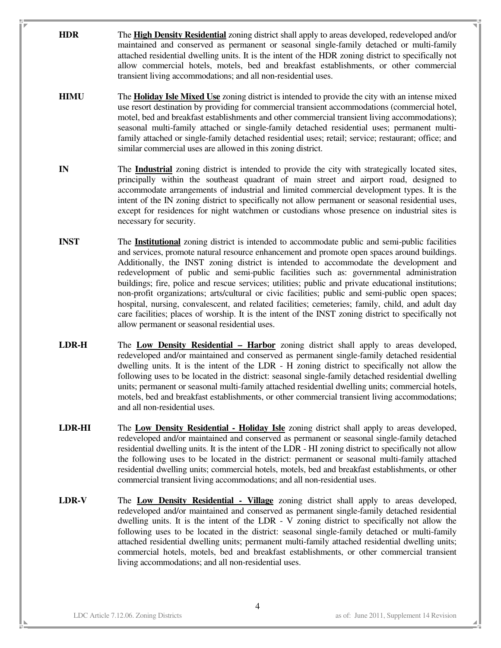- **HDR** The **High Density Residential** zoning district shall apply to areas developed, redeveloped and/or maintained and conserved as permanent or seasonal single-family detached or multi-family attached residential dwelling units. It is the intent of the HDR zoning district to specifically not allow commercial hotels, motels, bed and breakfast establishments, or other commercial transient living accommodations; and all non-residential uses.
- **HIMU** The **Holiday Isle Mixed Use** zoning district is intended to provide the city with an intense mixed use resort destination by providing for commercial transient accommodations (commercial hotel, motel, bed and breakfast establishments and other commercial transient living accommodations); seasonal multi-family attached or single-family detached residential uses; permanent multifamily attached or single-family detached residential uses; retail; service; restaurant; office; and similar commercial uses are allowed in this zoning district.
- **IN** The **Industrial** zoning district is intended to provide the city with strategically located sites, principally within the southeast quadrant of main street and airport road, designed to accommodate arrangements of industrial and limited commercial development types. It is the intent of the IN zoning district to specifically not allow permanent or seasonal residential uses, except for residences for night watchmen or custodians whose presence on industrial sites is necessary for security.
- **INST** The **Institutional** zoning district is intended to accommodate public and semi-public facilities and services, promote natural resource enhancement and promote open spaces around buildings. Additionally, the INST zoning district is intended to accommodate the development and redevelopment of public and semi-public facilities such as: governmental administration buildings; fire, police and rescue services; utilities; public and private educational institutions; non-profit organizations; arts/cultural or civic facilities; public and semi-public open spaces; hospital, nursing, convalescent, and related facilities; cemeteries; family, child, and adult day care facilities; places of worship. It is the intent of the INST zoning district to specifically not allow permanent or seasonal residential uses.
- **LDR-H** The **Low Density Residential Harbor** zoning district shall apply to areas developed, redeveloped and/or maintained and conserved as permanent single-family detached residential dwelling units. It is the intent of the LDR - H zoning district to specifically not allow the following uses to be located in the district: seasonal single-family detached residential dwelling units; permanent or seasonal multi-family attached residential dwelling units; commercial hotels, motels, bed and breakfast establishments, or other commercial transient living accommodations; and all non-residential uses.
- **LDR-HI** The **Low Density Residential Holiday Isle** zoning district shall apply to areas developed, redeveloped and/or maintained and conserved as permanent or seasonal single-family detached residential dwelling units. It is the intent of the LDR - HI zoning district to specifically not allow the following uses to be located in the district: permanent or seasonal multi-family attached residential dwelling units; commercial hotels, motels, bed and breakfast establishments, or other commercial transient living accommodations; and all non-residential uses.
- **LDR-V** The **Low Density Residential Village** zoning district shall apply to areas developed, redeveloped and/or maintained and conserved as permanent single-family detached residential dwelling units. It is the intent of the LDR - V zoning district to specifically not allow the following uses to be located in the district: seasonal single-family detached or multi-family attached residential dwelling units; permanent multi-family attached residential dwelling units; commercial hotels, motels, bed and breakfast establishments, or other commercial transient living accommodations; and all non-residential uses.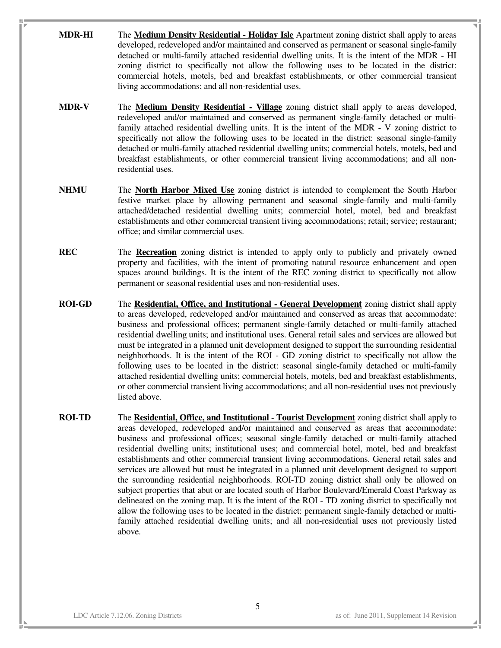- **MDR-HI** The **Medium Density Residential Holiday Isle** Apartment zoning district shall apply to areas developed, redeveloped and/or maintained and conserved as permanent or seasonal single-family detached or multi-family attached residential dwelling units. It is the intent of the MDR - HI zoning district to specifically not allow the following uses to be located in the district: commercial hotels, motels, bed and breakfast establishments, or other commercial transient living accommodations; and all non-residential uses.
- **MDR-V** The **Medium Density Residential Village** zoning district shall apply to areas developed, redeveloped and/or maintained and conserved as permanent single-family detached or multifamily attached residential dwelling units. It is the intent of the MDR - V zoning district to specifically not allow the following uses to be located in the district: seasonal single-family detached or multi-family attached residential dwelling units; commercial hotels, motels, bed and breakfast establishments, or other commercial transient living accommodations; and all nonresidential uses.
- **NHMU** The **North Harbor Mixed Use** zoning district is intended to complement the South Harbor festive market place by allowing permanent and seasonal single-family and multi-family attached/detached residential dwelling units; commercial hotel, motel, bed and breakfast establishments and other commercial transient living accommodations; retail; service; restaurant; office; and similar commercial uses.
- **REC** The **Recreation** zoning district is intended to apply only to publicly and privately owned property and facilities, with the intent of promoting natural resource enhancement and open spaces around buildings. It is the intent of the REC zoning district to specifically not allow permanent or seasonal residential uses and non-residential uses.
- **ROI-GD** The **Residential, Office, and Institutional General Development** zoning district shall apply to areas developed, redeveloped and/or maintained and conserved as areas that accommodate: business and professional offices; permanent single-family detached or multi-family attached residential dwelling units; and institutional uses. General retail sales and services are allowed but must be integrated in a planned unit development designed to support the surrounding residential neighborhoods. It is the intent of the ROI - GD zoning district to specifically not allow the following uses to be located in the district: seasonal single-family detached or multi-family attached residential dwelling units; commercial hotels, motels, bed and breakfast establishments, or other commercial transient living accommodations; and all non-residential uses not previously listed above.
- **ROI-TD** The **Residential, Office, and Institutional Tourist Development** zoning district shall apply to areas developed, redeveloped and/or maintained and conserved as areas that accommodate: business and professional offices; seasonal single-family detached or multi-family attached residential dwelling units; institutional uses; and commercial hotel, motel, bed and breakfast establishments and other commercial transient living accommodations. General retail sales and services are allowed but must be integrated in a planned unit development designed to support the surrounding residential neighborhoods. ROI-TD zoning district shall only be allowed on subject properties that abut or are located south of Harbor Boulevard/Emerald Coast Parkway as delineated on the zoning map. It is the intent of the ROI - TD zoning district to specifically not allow the following uses to be located in the district: permanent single-family detached or multifamily attached residential dwelling units; and all non-residential uses not previously listed above.